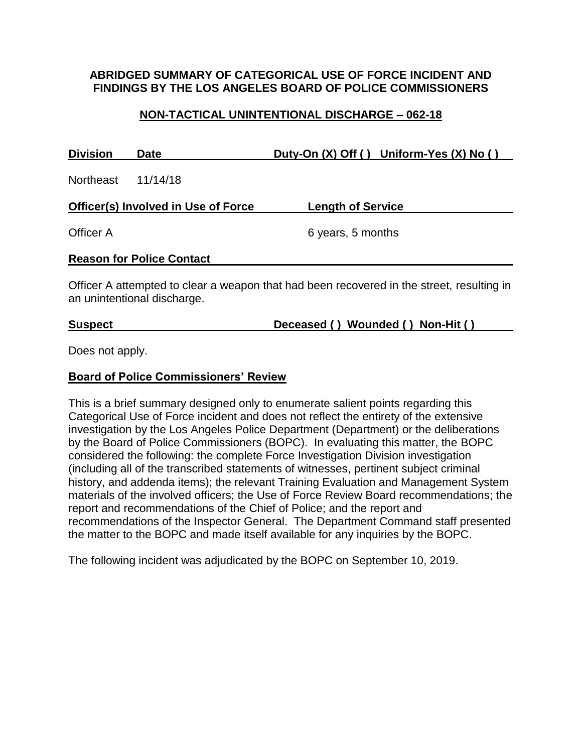## **ABRIDGED SUMMARY OF CATEGORICAL USE OF FORCE INCIDENT AND FINDINGS BY THE LOS ANGELES BOARD OF POLICE COMMISSIONERS**

# **NON-TACTICAL UNINTENTIONAL DISCHARGE – 062-18**

| <b>Division</b> | Date                                | Duty-On $(X)$ Off () Uniform-Yes $(X)$ No ()                                              |
|-----------------|-------------------------------------|-------------------------------------------------------------------------------------------|
| Northeast       | 11/14/18                            |                                                                                           |
|                 | Officer(s) Involved in Use of Force | <b>Length of Service</b>                                                                  |
| Officer A       |                                     | 6 years, 5 months                                                                         |
|                 | <b>Reason for Police Contact</b>    |                                                                                           |
|                 |                                     | $Offion$ , attampted to algor a weapon that had been recovered in the atract requiring in |

Officer A attempted to clear a weapon that had been recovered in the street, resulting in an unintentional discharge.

**Suspect Deceased ( ) Wounded ( ) Non-Hit ( )**

Does not apply.

#### **Board of Police Commissioners' Review**

This is a brief summary designed only to enumerate salient points regarding this Categorical Use of Force incident and does not reflect the entirety of the extensive investigation by the Los Angeles Police Department (Department) or the deliberations by the Board of Police Commissioners (BOPC). In evaluating this matter, the BOPC considered the following: the complete Force Investigation Division investigation (including all of the transcribed statements of witnesses, pertinent subject criminal history, and addenda items); the relevant Training Evaluation and Management System materials of the involved officers; the Use of Force Review Board recommendations; the report and recommendations of the Chief of Police; and the report and recommendations of the Inspector General. The Department Command staff presented the matter to the BOPC and made itself available for any inquiries by the BOPC.

The following incident was adjudicated by the BOPC on September 10, 2019.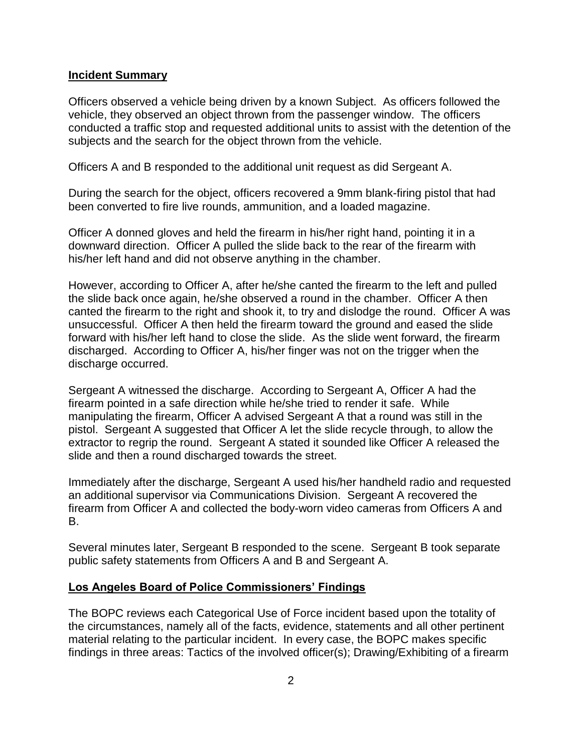#### **Incident Summary**

Officers observed a vehicle being driven by a known Subject. As officers followed the vehicle, they observed an object thrown from the passenger window. The officers conducted a traffic stop and requested additional units to assist with the detention of the subjects and the search for the object thrown from the vehicle.

Officers A and B responded to the additional unit request as did Sergeant A.

During the search for the object, officers recovered a 9mm blank-firing pistol that had been converted to fire live rounds, ammunition, and a loaded magazine.

Officer A donned gloves and held the firearm in his/her right hand, pointing it in a downward direction. Officer A pulled the slide back to the rear of the firearm with his/her left hand and did not observe anything in the chamber.

However, according to Officer A, after he/she canted the firearm to the left and pulled the slide back once again, he/she observed a round in the chamber. Officer A then canted the firearm to the right and shook it, to try and dislodge the round. Officer A was unsuccessful. Officer A then held the firearm toward the ground and eased the slide forward with his/her left hand to close the slide. As the slide went forward, the firearm discharged. According to Officer A, his/her finger was not on the trigger when the discharge occurred.

Sergeant A witnessed the discharge. According to Sergeant A, Officer A had the firearm pointed in a safe direction while he/she tried to render it safe. While manipulating the firearm, Officer A advised Sergeant A that a round was still in the pistol. Sergeant A suggested that Officer A let the slide recycle through, to allow the extractor to regrip the round. Sergeant A stated it sounded like Officer A released the slide and then a round discharged towards the street.

Immediately after the discharge, Sergeant A used his/her handheld radio and requested an additional supervisor via Communications Division. Sergeant A recovered the firearm from Officer A and collected the body-worn video cameras from Officers A and B.

Several minutes later, Sergeant B responded to the scene. Sergeant B took separate public safety statements from Officers A and B and Sergeant A.

#### **Los Angeles Board of Police Commissioners' Findings**

The BOPC reviews each Categorical Use of Force incident based upon the totality of the circumstances, namely all of the facts, evidence, statements and all other pertinent material relating to the particular incident. In every case, the BOPC makes specific findings in three areas: Tactics of the involved officer(s); Drawing/Exhibiting of a firearm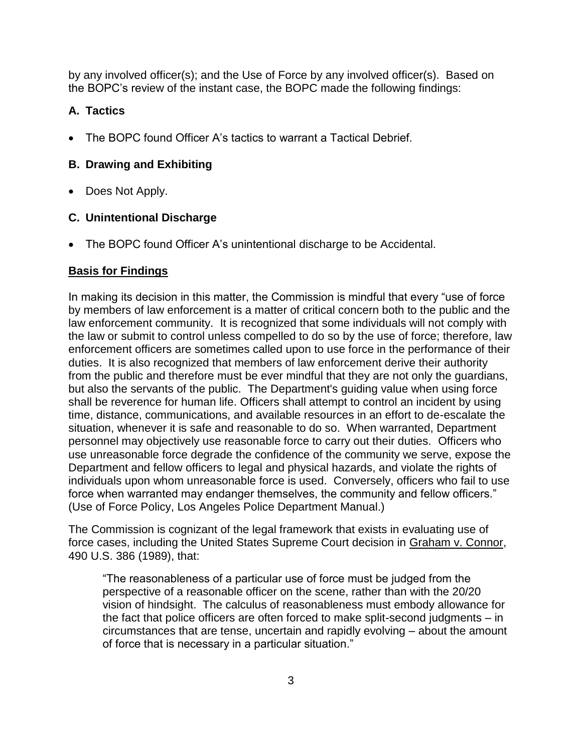by any involved officer(s); and the Use of Force by any involved officer(s). Based on the BOPC's review of the instant case, the BOPC made the following findings:

## **A. Tactics**

• The BOPC found Officer A's tactics to warrant a Tactical Debrief.

## **B. Drawing and Exhibiting**

• Does Not Apply.

## **C. Unintentional Discharge**

• The BOPC found Officer A's unintentional discharge to be Accidental.

## **Basis for Findings**

In making its decision in this matter, the Commission is mindful that every "use of force by members of law enforcement is a matter of critical concern both to the public and the law enforcement community. It is recognized that some individuals will not comply with the law or submit to control unless compelled to do so by the use of force; therefore, law enforcement officers are sometimes called upon to use force in the performance of their duties. It is also recognized that members of law enforcement derive their authority from the public and therefore must be ever mindful that they are not only the guardians, but also the servants of the public. The Department's guiding value when using force shall be reverence for human life. Officers shall attempt to control an incident by using time, distance, communications, and available resources in an effort to de-escalate the situation, whenever it is safe and reasonable to do so. When warranted, Department personnel may objectively use reasonable force to carry out their duties. Officers who use unreasonable force degrade the confidence of the community we serve, expose the Department and fellow officers to legal and physical hazards, and violate the rights of individuals upon whom unreasonable force is used. Conversely, officers who fail to use force when warranted may endanger themselves, the community and fellow officers." (Use of Force Policy, Los Angeles Police Department Manual.)

The Commission is cognizant of the legal framework that exists in evaluating use of force cases, including the United States Supreme Court decision in Graham v. Connor, 490 U.S. 386 (1989), that:

"The reasonableness of a particular use of force must be judged from the perspective of a reasonable officer on the scene, rather than with the 20/20 vision of hindsight. The calculus of reasonableness must embody allowance for the fact that police officers are often forced to make split-second judgments – in circumstances that are tense, uncertain and rapidly evolving – about the amount of force that is necessary in a particular situation."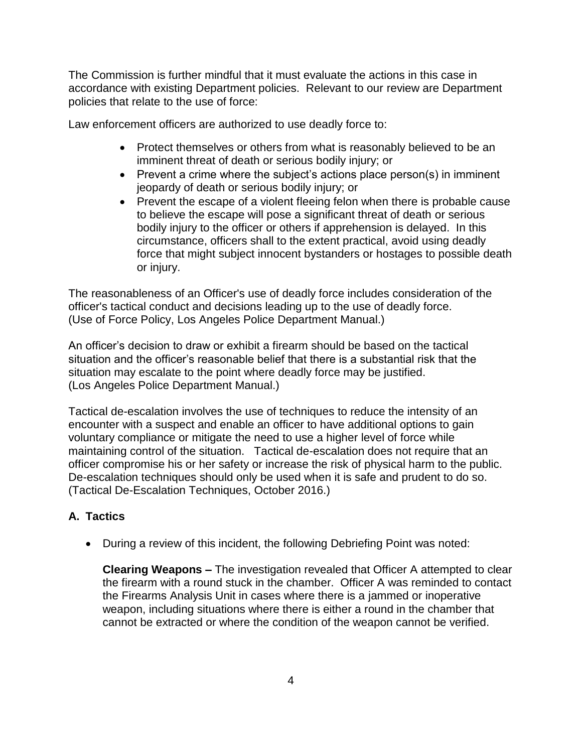The Commission is further mindful that it must evaluate the actions in this case in accordance with existing Department policies. Relevant to our review are Department policies that relate to the use of force:

Law enforcement officers are authorized to use deadly force to:

- Protect themselves or others from what is reasonably believed to be an imminent threat of death or serious bodily injury; or
- Prevent a crime where the subject's actions place person(s) in imminent jeopardy of death or serious bodily injury; or
- Prevent the escape of a violent fleeing felon when there is probable cause to believe the escape will pose a significant threat of death or serious bodily injury to the officer or others if apprehension is delayed. In this circumstance, officers shall to the extent practical, avoid using deadly force that might subject innocent bystanders or hostages to possible death or injury.

The reasonableness of an Officer's use of deadly force includes consideration of the officer's tactical conduct and decisions leading up to the use of deadly force. (Use of Force Policy, Los Angeles Police Department Manual.)

An officer's decision to draw or exhibit a firearm should be based on the tactical situation and the officer's reasonable belief that there is a substantial risk that the situation may escalate to the point where deadly force may be justified. (Los Angeles Police Department Manual.)

Tactical de-escalation involves the use of techniques to reduce the intensity of an encounter with a suspect and enable an officer to have additional options to gain voluntary compliance or mitigate the need to use a higher level of force while maintaining control of the situation. Tactical de-escalation does not require that an officer compromise his or her safety or increase the risk of physical harm to the public. De-escalation techniques should only be used when it is safe and prudent to do so. (Tactical De-Escalation Techniques, October 2016.)

# **A. Tactics**

• During a review of this incident, the following Debriefing Point was noted:

**Clearing Weapons –** The investigation revealed that Officer A attempted to clear the firearm with a round stuck in the chamber. Officer A was reminded to contact the Firearms Analysis Unit in cases where there is a jammed or inoperative weapon, including situations where there is either a round in the chamber that cannot be extracted or where the condition of the weapon cannot be verified.